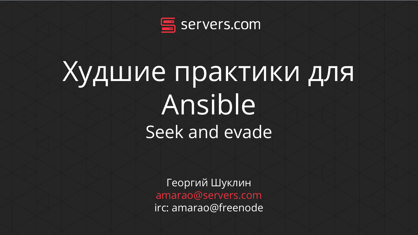

## Худшие практики для Ansible Seek and evade

Георгий Шуклин amarao@servers.com irc: amarao@freenode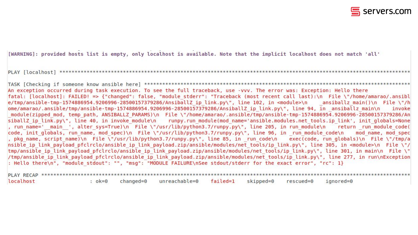

[WARNING]: provided hosts list is empty, only localhost is available. Note that the implicit localhost does not match 'all'

PLAY [localhost] \*\*\*\*\*\*\*\*\*\*\*\*

An exception occurred during task execution. To see the full traceback, use -vvv. The error was: Exception: Hello there fatal: [localhost]: FAILED! => {"changed": false, "module stderr": "Traceback (most recent call last):\n File \"/home/amarao/.ansibl e/tmp/ansible-tmp-1574886954.9206996-28500157379286/AnsiballZ ip link.py\", line 102, in <module>\n ansiballz main()\n File \"/h ome/amarao/.ansible/tmp/ansible-tmp-1574886954.9206996-28500157379286/AnsiballZ ip link.py\", line 94, in ansiballz main\n invoke module(zipped mod, temp path, ANSIBALLZ PARAMS)\n File \"/home/amarao/.ansible/tmp/ansible-tmp-1574886954.9206996-28500157379286/An siballZ ip link.py\", line 40, in invoke module\n runpy.run module(mod name='ansible.modules.net tools.ip link', init qlobals=None , run name=' main ', alter sys=True)\n File \"/usr/lib/python3.7/runpy.py\", line 205, in run module\n return run module code( code, init globals, run name, mod spec)\n File \"/usr/lib/python3.7/runpy.py\", line 96, in run module code\n mod name, mod spec , pkg name, script name)\n File \"/usr/lib/python3.7/runpy.py\", line 85, in run code\n exec(code, run globals)\n File \"/tmp/a nsible ip link payload pfclrclo/ansible ip link payload.zip/ansible/modules/net tools/ip link.py\", line 305, in <module>\n File \"/ tmp/ansible ip link payload pfclrclo/ansible ip link payload.zip/ansible/modules/net tools/ip link.py\", line 301, in main\n File \" /tmp/ansible ip link payload pfclrclo/ansible ip link payload.zip/ansible/modules/net tools/ip link.py\", line 277, in run\nException : Hello there\n", "module stdout": "", "msq": "MODULE FAILURE\nSee stdout/stderr for the exact error", "rc": 1}

| localhost |  | :ok=0 changed=0 unreachable=0 failed=1 skipped=0 rescued=0 ignored=0 |  |  |
|-----------|--|----------------------------------------------------------------------|--|--|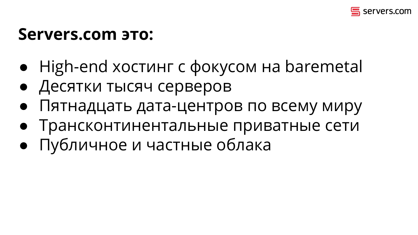

### **Servers.com это:**

- High-end хостинг с фокусом на baremetal
- Десятки тысяч серверов
- Пятнадцать дата-центров по всему миру
- Трансконтинентальные приватные сети
- Публичное и частные облака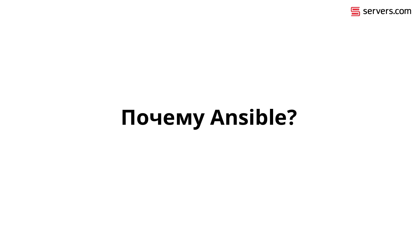

## **Почему Ansible?**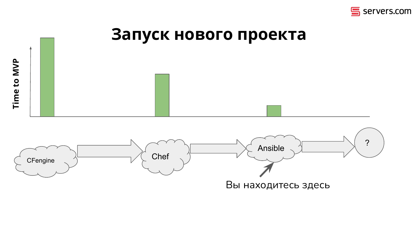

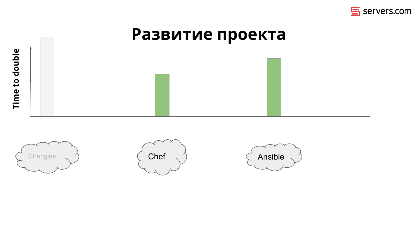

# Развитие проекта Time to double





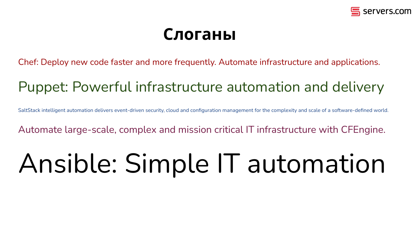

### **Слоганы**

Chef: Deploy new code faster and more frequently. Automate infrastructure and applications.

### Puppet: Powerful infrastructure automation and delivery

SaltStack intelligent automation delivers event-driven security, cloud and configuration management for the complexity and scale of a software-defined world.

Automate large-scale, complex and mission critical IT infrastructure with CFEngine.

## Ansible: Simple IT automation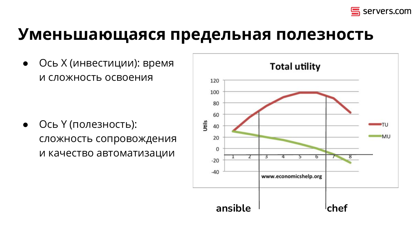

### **Уменьшающаяся предельная полезность**

● Ось X (инвестиции): время и сложность освоения

● Ось Y (полезность): сложность сопровождения и качество автоматизации

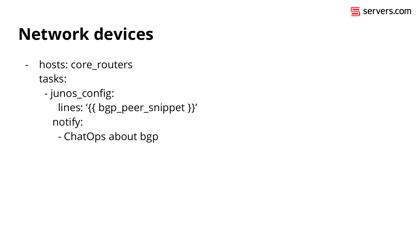

## **Network devices**

- hosts: core\_routers tasks:
	- junos\_config:
		- lines: '{{ bgp\_peer\_snippet }}'
		- notify:
			- ChatOps about bgp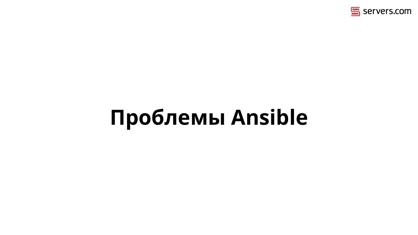

## **Проблемы Ansible**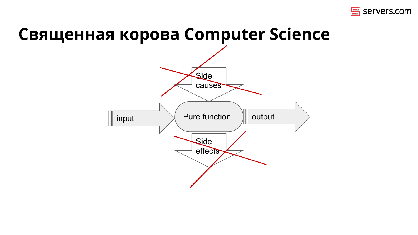

### **Священная корова Computer Science**

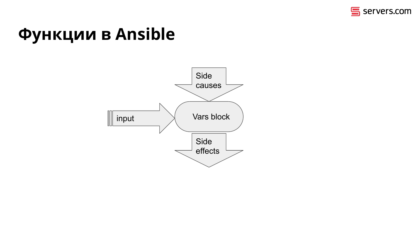

## **Функции в Ansible**

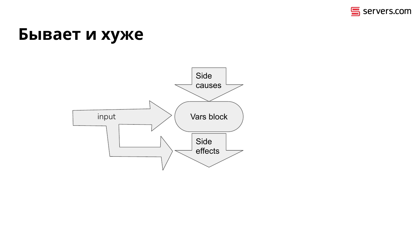

### Бывает и хуже

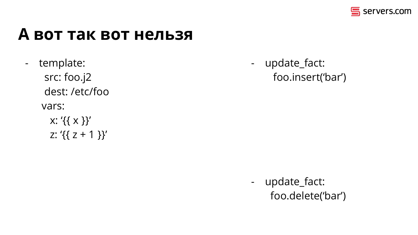

### А вот так вот нельзя

- template: src: foo.j2 dest:/etc/foo vars:  $x: \{ \{ x \} \}'$ 
	- z: ' $\{\{z + 1\}\}'$

- update\_fact: foo.insert('bar')

- update\_fact: foo.delete('bar')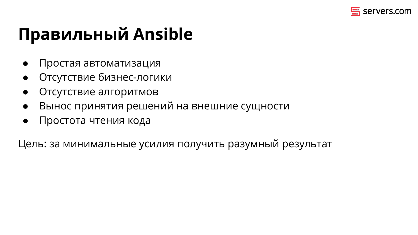

## **Правильный Ansible**

- Простая автоматизация
- Отсутствие бизнес-логики
- Отсутствие алгоритмов
- Вынос принятия решений на внешние сущности
- Простота чтения кода

Цель: за минимальные усилия получить разумный результат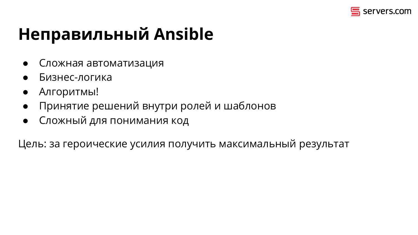

## **Неправильный Ansible**

- Сложная автоматизация
- Бизнес-логика
- Алгоритмы!
- Принятие решений внутри ролей и шаблонов
- **Сложный для понимания код**

Цель: за героические усилия получить максимальный результат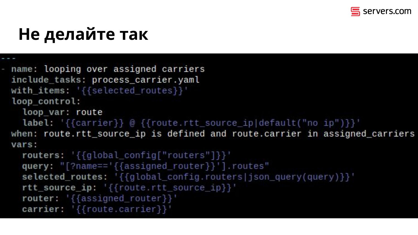

## Не делайте так

- name: looping over assigned carriers include tasks: process carrier.yaml with items: '{{selected\_routes}}' loop control:

loop var: route

label: '{{carrier}} @ {{route.rtt\_source\_ip|default("no ip")}}' when: route.rtt\_source\_ip is defined and route.carrier in assigned\_carriers vars:

```
routers: '{{global_config["routers"]}}'
query: "[?name=='{{assigned_router}}'].routes"
selected routes: '{{global_config.routers|json_query(query)}}'
rtt_source_ip: '{{route.rtt_source_ip}}'
router: '{{assigned_router}}'
carrier: '{{route.carrier}}'
```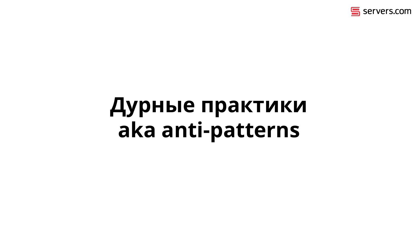

## **Дурные практики aka anti-patterns**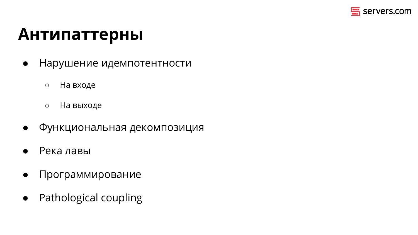

### **Антипаттерны**

- Нарушение идемпотентности
	- На входе
	- На выходе
- Функциональная декомпозиция
- Река лавы
- Программирование
- Pathological coupling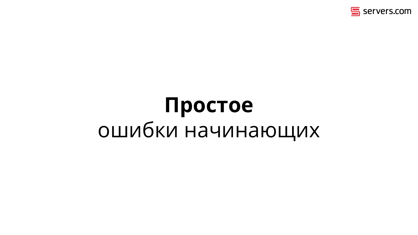

## **Простое** ошибки начинающих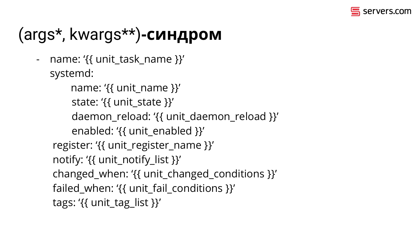

## (args\*, kwargs\*\*)**-синдром**

- name: '{{ unit\_task\_name }}' systemd:

```
name: '{{ unit_name }}'
state: '\{ unit state \}'
 daemon_reload: '{{ unit_daemon_reload }}'
enabled: '{{ unit_enabled }}'
```

```
 register: '{{ unit_register_name }}'
```

```
 notify: '{{ unit_notify_list }}'
```

```
 changed_when: '{{ unit_changed_conditions }}'
```

```
failed when: '{{ unit fail conditions }}'
```

```
tags: '\{ \} unit tag list \}'
```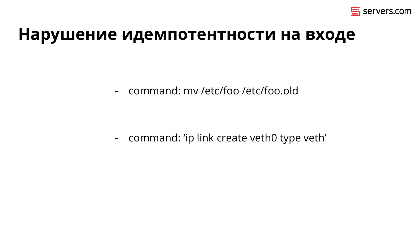

### Нарушение идемпотентности на входе

- command: my /etc/foo /etc/foo.old

- command: 'ip link create veth0 type veth'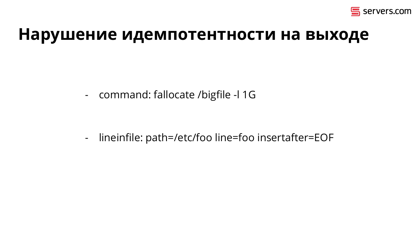

### Нарушение идемпотентности на выходе

- command: fallocate /bigfile -l 1G

lineinfile: path=/etc/foo line=foo insertafter=EOF  $\blacksquare$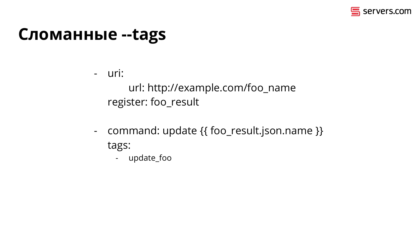

### **Сломанные --tags**

- uri: url: http://example.com/foo\_name register: foo\_result

- command: update {{ foo\_result.json.name }} tags:
	- update\_foo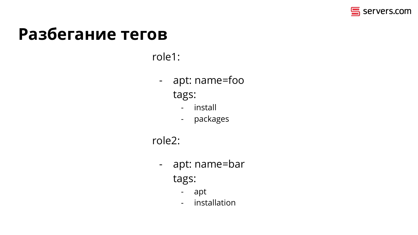

### **Разбегание тегов**

#### role1:

- apt: name=foo tags:
	- install
	- packages

#### role2:

- apt: name=bar tags:
	- apt
	- installation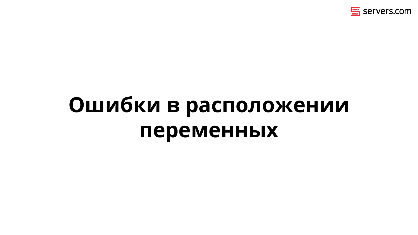

## **Ошибки в расположении переменных**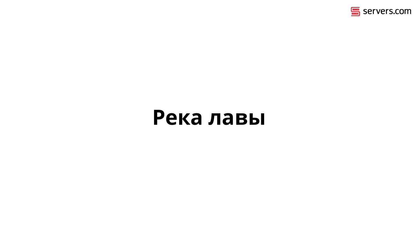

## **Река лавы**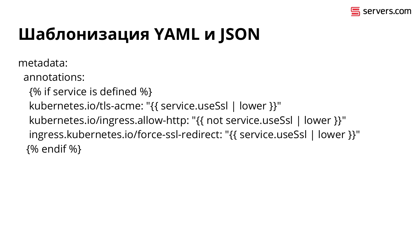

## Шаблонизация YAML и JSON

metadata:

annotations:

- {% if service is defined %}
- kubernetes.io/tls-acme: "{{ service.useSsl | lower }}"
- kubernetes.io/ingress.allow-http: "{{ not service.useSsl | lower }}" ingress.kubernetes.io/force-ssl-redirect: "{{ service.useSsl | lower }}" {% endif %}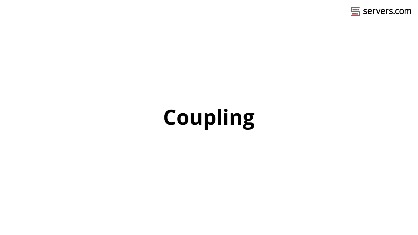

## **Coupling**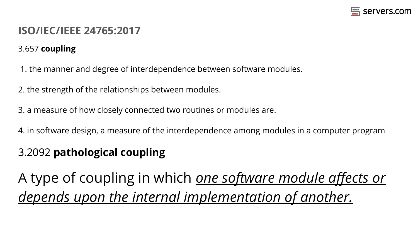

#### **ISO/IEC/IEEE 24765:2017**

#### 3.657 **coupling**

1. the manner and degree of interdependence between software modules.

2. the strength of the relationships between modules.

3. a measure of how closely connected two routines or modules are.

4. in software design, a measure of the interdependence among modules in a computer program

#### 3.2092 **pathological coupling**

A type of coupling in which *one software module affects or depends upon the internal implementation of another.*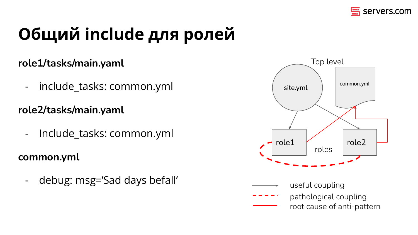

## **Общий include для ролей**

#### **role1/tasks/main.yaml**

- include\_tasks: common.yml

**role2/tasks/main.yaml**

- Include\_tasks: common.yml

**common.yml**

- debug: msg='Sad days befall'



useful coupling pathological coupling root cause of anti-pattern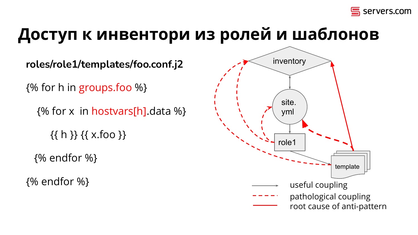

## **Доступ к инвентори из ролей и шаблонов**

**roles/role1/templates/foo.conf.j2** {% for h in groups.foo %} {% for x in hostvars[h].data %}  $\{\{\}$  h  $\}\$   $\{\{\}$  x.foo  $\}$  {% endfor %} {% endfor %}

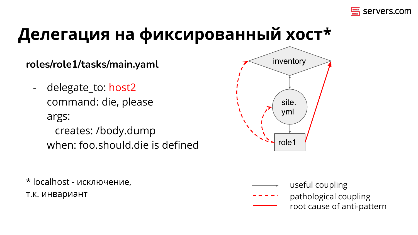

## **Делегация на фиксированный хост\***

#### **roles/role1/tasks/main.yaml**

delegate\_to: host2 command: die, please args:

 creates: /body.dump when: foo.should.die is defined

\* localhost - исключение, т.к. инвариант



- useful coupling
- pathological coupling root cause of anti-pattern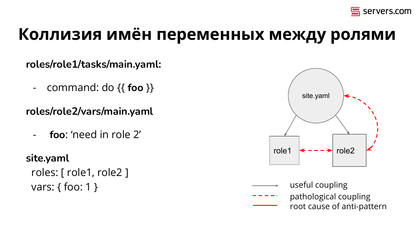

## **Коллизия имён переменных между ролями**

**roles/role1/tasks/main.yaml:**

- command: do {{ **foo** }}

**roles/role2/vars/main.yaml**

- **foo**: 'need in role 2'

#### **site.yaml**

 roles: [ role1, role2 ] vars: { foo: 1 }



- useful coupling
- pathological coupling
	- root cause of anti-pattern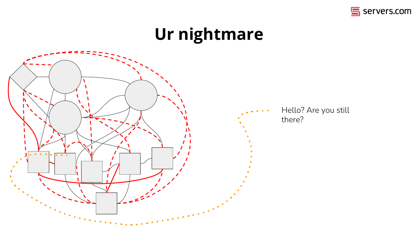

## **Ur nightmare**

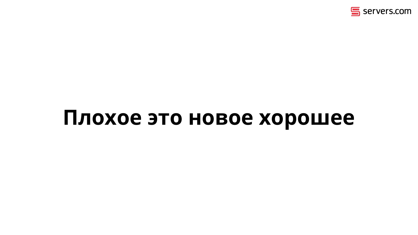

## **Плохое это новое хорошее**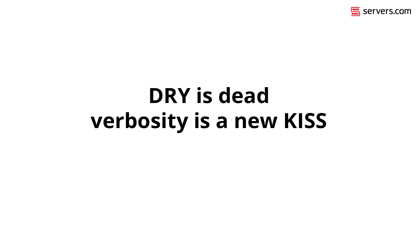

## **DRY is dead verbosity is a new KISS**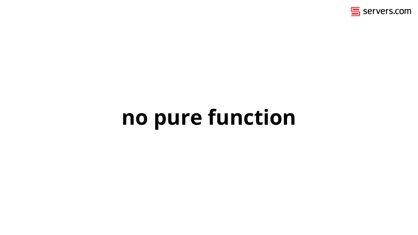

## **no pure function**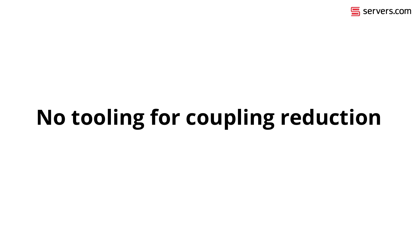

## **No tooling for coupling reduction**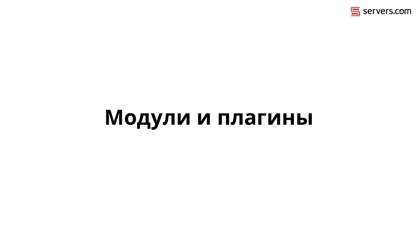

## **Модули и плагины**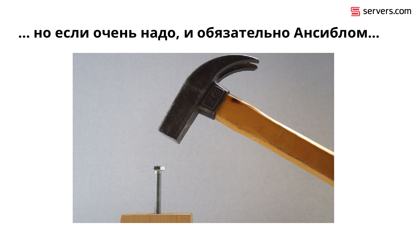

### ... но если очень надо, и обязательно Ансиблом...